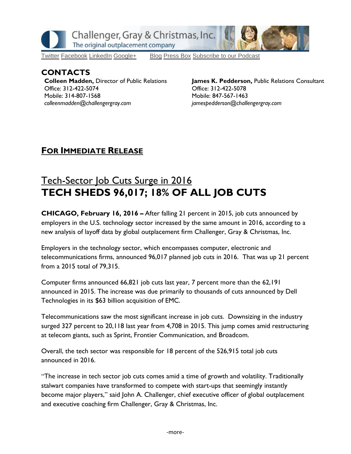

[Twitter](https://twitter.com/#!/ChallengerGray) [Facebook](https://www.facebook.com/ChallengerGray) [LinkedIn](http://www.linkedin.com/company/28264?trk=tyah) [Google+](https://plus.google.com/b/114363499979264115698/114363499979264115698) [Blog](http://www.challengergray.com/press/blog) [Press](http://www.challengergray.com/press/press-releases) Box [Subscribe](https://itunes.apple.com/us/podcast/challenger-podcast-hr-passport/id1155541697?mt=2) to our Podcast

### **CONTACTS**

**Colleen Madden,** Director of Public Relations Office: 312-422-5074 Mobile: 314-807-1568 *[colleenmadden@challengergray.com](mailto:colleenmadden@challengergray.com)*

**James K. Pedderson,** Public Relations Consultant Office: 312-422-5078 Mobile: 847-567-1463 *[jamespedderson@challengergray.com](mailto:jamespedderson@challengergray.com)*

## **FOR IMMEDIATE RELEASE**

# Tech-Sector Job Cuts Surge in 2016 **TECH SHEDS 96,017; 18% OF ALL JOB CUTS**

**CHICAGO, February 16, 2016 –** After falling 21 percent in 2015, job cuts announced by employers in the U.S. technology sector increased by the same amount in 2016, according to a new analysis of layoff data by global outplacement firm Challenger, Gray & Christmas, Inc.

Employers in the technology sector, which encompasses computer, electronic and telecommunications firms, announced 96,017 planned job cuts in 2016. That was up 21 percent from a 2015 total of 79,315.

Computer firms announced 66,821 job cuts last year, 7 percent more than the 62,191 announced in 2015. The increase was due primarily to thousands of cuts announced by Dell Technologies in its \$63 billion acquisition of EMC.

Telecommunications saw the most significant increase in job cuts. Downsizing in the industry surged 327 percent to 20,118 last year from 4,708 in 2015. This jump comes amid restructuring at telecom giants, such as Sprint, Frontier Communication, and Broadcom.

Overall, the tech sector was responsible for 18 percent of the 526,915 total job cuts announced in 2016.

"The increase in tech sector job cuts comes amid a time of growth and volatility. Traditionally stalwart companies have transformed to compete with start-ups that seemingly instantly become major players," said John A. Challenger, chief executive officer of global outplacement and executive coaching firm Challenger, Gray & Christmas, Inc.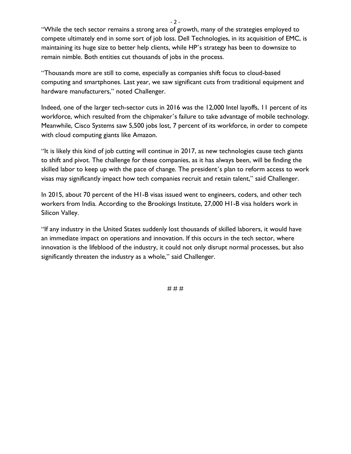"While the tech sector remains a strong area of growth, many of the strategies employed to compete ultimately end in some sort of job loss. Dell Technologies, in its acquisition of EMC, is maintaining its huge size to better help clients, while HP's strategy has been to downsize to remain nimble. Both entities cut thousands of jobs in the process.

- 2 -

"Thousands more are still to come, especially as companies shift focus to cloud-based computing and smartphones. Last year, we saw significant cuts from traditional equipment and hardware manufacturers," noted Challenger.

Indeed, one of the larger tech-sector cuts in 2016 was the 12,000 Intel layoffs, 11 percent of its workforce, which resulted from the chipmaker's failure to take advantage of mobile technology. Meanwhile, Cisco Systems saw 5,500 jobs lost, 7 percent of its workforce, in order to compete with cloud computing giants like Amazon.

"It is likely this kind of job cutting will continue in 2017, as new technologies cause tech giants to shift and pivot. The challenge for these companies, as it has always been, will be finding the skilled labor to keep up with the pace of change. The president's plan to reform access to work visas may significantly impact how tech companies recruit and retain talent," said Challenger.

In 2015, about 70 percent of the H1-B visas issued went to engineers, coders, and other tech workers from India. According to the Brookings Institute, 27,000 H1-B visa holders work in Silicon Valley.

"If any industry in the United States suddenly lost thousands of skilled laborers, it would have an immediate impact on operations and innovation. If this occurs in the tech sector, where innovation is the lifeblood of the industry, it could not only disrupt normal processes, but also significantly threaten the industry as a whole," said Challenger.

# # #